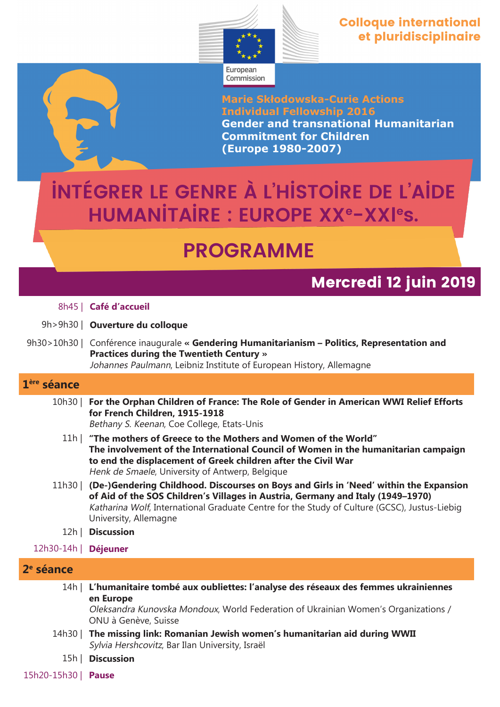

**Marie Skłodowska-Curie Actions Individual Fellowship 2016 Gender and transnational Humanitarian Commitment for Children (Europe 1980-2007)**

# **Intégrer le genre à l'histoire de l'aide humanitaire : Europe XX<sup>e</sup>-XXl es.**

## **PROGRAMME**

### **Mercredi 12 juin 2019**

|                         | 9h>9h30   <b>Ouverture du colloque</b>                                                                                                                                                                                                                                                                    |
|-------------------------|-----------------------------------------------------------------------------------------------------------------------------------------------------------------------------------------------------------------------------------------------------------------------------------------------------------|
|                         | 9h30>10h30   Conférence inaugurale « Gendering Humanitarianism - Politics, Representation and<br><b>Practices during the Twentieth Century »</b><br>Johannes Paulmann, Leibniz Institute of European History, Allemagne                                                                                   |
| 1 <sup>ère</sup> séance |                                                                                                                                                                                                                                                                                                           |
| 10h30                   | For the Orphan Children of France: The Role of Gender in American WWI Relief Efforts<br>for French Children, 1915-1918<br>Bethany S. Keenan, Coe College, Etats-Unis                                                                                                                                      |
|                         | 11h   "The mothers of Greece to the Mothers and Women of the World"<br>The involvement of the International Council of Women in the humanitarian campaign<br>to end the displacement of Greek children after the Civil War<br>Henk de Smaele, University of Antwerp, Belgique                             |
|                         | 11h30   (De-)Gendering Childhood. Discourses on Boys and Girls in 'Need' within the Expansion<br>of Aid of the SOS Children's Villages in Austria, Germany and Italy (1949-1970)<br>Katharina Wolf, International Graduate Centre for the Study of Culture (GCSC), Justus-Liebig<br>University, Allemagne |
| 12h                     | <b>Discussion</b>                                                                                                                                                                                                                                                                                         |
| $12h30-14h$             | <b>Déjeuner</b>                                                                                                                                                                                                                                                                                           |
| 2 <sup>e</sup> séance   |                                                                                                                                                                                                                                                                                                           |
| 14h                     | L'humanitaire tombé aux oubliettes: l'analyse des réseaux des femmes ukrainiennes<br>en Europe<br>Oleksandra Kunovska Mondoux, World Federation of Ukrainian Women's Organizations /<br>ONU à Genève, Suisse                                                                                              |
| 14h30                   | The missing link: Romanian Jewish women's humanitarian aid during WWII                                                                                                                                                                                                                                    |

- Sylvia Hershcovitz, Bar Ilan University, Israël
- 15h | **Discussion**

8h45 | **Café d'accueil**

15h20-15h30 | **Pause**